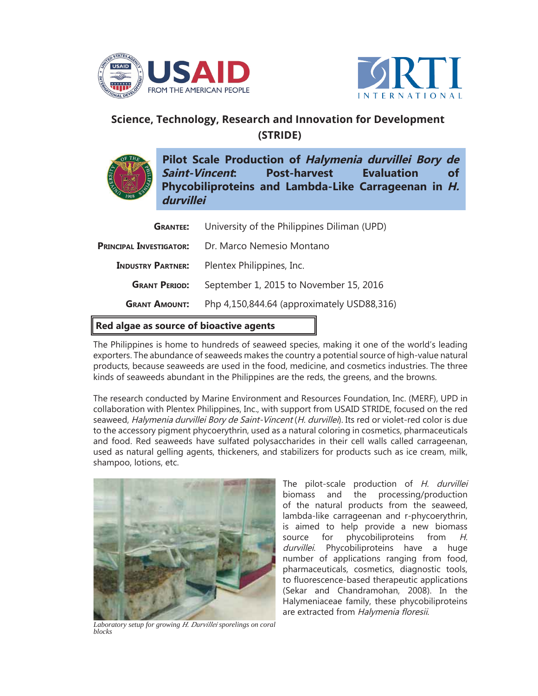



## **Science, Technology, Research and Innovation for Development (STRIDE)**



**Pilot Scale Production of Halymenia durvillei Bory de Saint-Vincent: Post-harvest Evaluation of Phycobiliproteins and Lambda-Like Carrageenan in H. durvillei**

| <b>GRANTEE:</b>                | University of the Philippines Diliman (UPD) |
|--------------------------------|---------------------------------------------|
| <b>PRINCIPAL INVESTIGATOR:</b> | Dr. Marco Nemesio Montano                   |
| <b>INDUSTRY PARTNER:</b>       | Plentex Philippines, Inc.                   |
| <b>GRANT PERIOD:</b>           | September 1, 2015 to November 15, 2016      |
| <b>GRANT AMOUNT:</b>           | Php 4,150,844.64 (approximately USD88,316)  |
|                                |                                             |

## **Red algae as source of bioactive agents**

The Philippines is home to hundreds of seaweed species, making it one of the world's leading exporters. The abundance of seaweeds makes the country a potential source of high-value natural products, because seaweeds are used in the food, medicine, and cosmetics industries. The three kinds of seaweeds abundant in the Philippines are the reds, the greens, and the browns.

The research conducted by Marine Environment and Resources Foundation, Inc. (MERF), UPD in collaboration with Plentex Philippines, Inc., with support from USAID STRIDE, focused on the red seaweed, Halymenia durvillei Bory de Saint-Vincent (H. durvillei). Its red or violet-red color is due to the accessory pigment phycoerythrin, used as a natural coloring in cosmetics, pharmaceuticals and food. Red seaweeds have sulfated polysaccharides in their cell walls called carrageenan, used as natural gelling agents, thickeners, and stabilizers for products such as ice cream, milk, shampoo, lotions, etc.



*Laboratory setup for growing H. Durvillei sporelings on coral blocks*

The pilot-scale production of H. durvillei biomass and the processing/production of the natural products from the seaweed, lambda-like carrageenan and r-phycoerythrin, is aimed to help provide a new biomass source for phycobiliproteins from H. durvillei. Phycobiliproteins have a huge number of applications ranging from food, pharmaceuticals, cosmetics, diagnostic tools, to fluorescence-based therapeutic applications (Sekar and Chandramohan, 2008). In the Halymeniaceae family, these phycobiliproteins are extracted from Halymenia floresii.